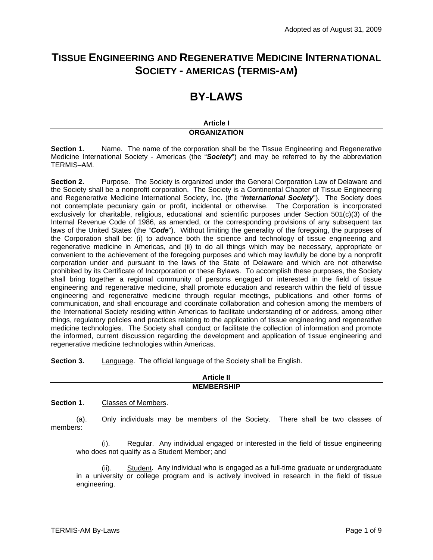# **TISSUE ENGINEERING AND REGENERATIVE MEDICINE INTERNATIONAL SOCIETY - AMERICAS (TERMIS-AM)**

# **BY-LAWS**

# **Article I ORGANIZATION**

**Section 1.** Name. The name of the corporation shall be the Tissue Engineering and Regenerative Medicine International Society - Americas (the "*Society*") and may be referred to by the abbreviation TERMIS–AM.

**Section 2.** Purpose. The Society is organized under the General Corporation Law of Delaware and the Society shall be a nonprofit corporation. The Society is a Continental Chapter of Tissue Engineering and Regenerative Medicine International Society, Inc. (the "*International Society*"). The Society does not contemplate pecuniary gain or profit, incidental or otherwise. The Corporation is incorporated exclusively for charitable, religious, educational and scientific purposes under Section 501(c)(3) of the Internal Revenue Code of 1986, as amended, or the corresponding provisions of any subsequent tax laws of the United States (the "*Code*"). Without limiting the generality of the foregoing, the purposes of the Corporation shall be: (i) to advance both the science and technology of tissue engineering and regenerative medicine in Americas, and (ii) to do all things which may be necessary, appropriate or convenient to the achievement of the foregoing purposes and which may lawfully be done by a nonprofit corporation under and pursuant to the laws of the State of Delaware and which are not otherwise prohibited by its Certificate of Incorporation or these Bylaws. To accomplish these purposes, the Society shall bring together a regional community of persons engaged or interested in the field of tissue engineering and regenerative medicine, shall promote education and research within the field of tissue engineering and regenerative medicine through regular meetings, publications and other forms of communication, and shall encourage and coordinate collaboration and cohesion among the members of the International Society residing within Americas to facilitate understanding of or address, among other things, regulatory policies and practices relating to the application of tissue engineering and regenerative medicine technologies. The Society shall conduct or facilitate the collection of information and promote the informed, current discussion regarding the development and application of tissue engineering and regenerative medicine technologies within Americas.

**Section 3.** Language. The official language of the Society shall be English.

| <b>Article II</b> |
|-------------------|
| <b>MEMBERSHIP</b> |

## **Section 1**. Classes of Members.

(a). Only individuals may be members of the Society. There shall be two classes of members:

(i). Regular. Any individual engaged or interested in the field of tissue engineering who does not qualify as a Student Member; and

(ii). Student. Any individual who is engaged as a full-time graduate or undergraduate in a university or college program and is actively involved in research in the field of tissue engineering.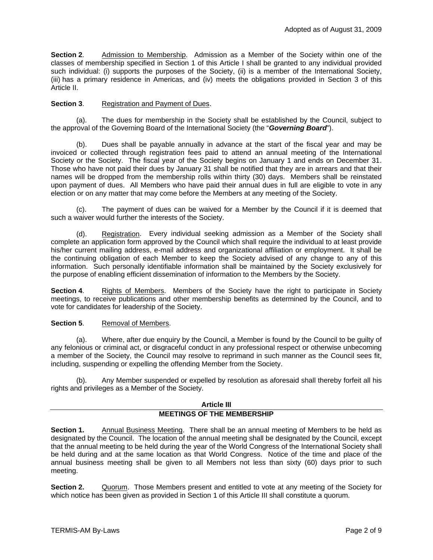**Section 2**. Admission to Membership. Admission as a Member of the Society within one of the classes of membership specified in Section 1 of this Article I shall be granted to any individual provided such individual: (i) supports the purposes of the Society, (ii) is a member of the International Society, (iii) has a primary residence in Americas, and (iv) meets the obligations provided in Section 3 of this Article II.

# **Section 3.** Registration and Payment of Dues.

(a). The dues for membership in the Society shall be established by the Council, subject to the approval of the Governing Board of the International Society (the "*Governing Board*").

(b). Dues shall be payable annually in advance at the start of the fiscal year and may be invoiced or collected through registration fees paid to attend an annual meeting of the International Society or the Society. The fiscal year of the Society begins on January 1 and ends on December 31. Those who have not paid their dues by January 31 shall be notified that they are in arrears and that their names will be dropped from the membership rolls within thirty (30) days. Members shall be reinstated upon payment of dues. All Members who have paid their annual dues in full are eligible to vote in any election or on any matter that may come before the Members at any meeting of the Society.

(c). The payment of dues can be waived for a Member by the Council if it is deemed that such a waiver would further the interests of the Society.

(d). Registration. Every individual seeking admission as a Member of the Society shall complete an application form approved by the Council which shall require the individual to at least provide his/her current mailing address, e-mail address and organizational affiliation or employment. It shall be the continuing obligation of each Member to keep the Society advised of any change to any of this information. Such personally identifiable information shall be maintained by the Society exclusively for the purpose of enabling efficient dissemination of information to the Members by the Society.

**Section 4.** Rights of Members. Members of the Society have the right to participate in Society meetings, to receive publications and other membership benefits as determined by the Council, and to vote for candidates for leadership of the Society.

## **Section 5.** Removal of Members.

(a). Where, after due enquiry by the Council, a Member is found by the Council to be guilty of any felonious or criminal act, or disgraceful conduct in any professional respect or otherwise unbecoming a member of the Society, the Council may resolve to reprimand in such manner as the Council sees fit, including, suspending or expelling the offending Member from the Society.

(b). Any Member suspended or expelled by resolution as aforesaid shall thereby forfeit all his rights and privileges as a Member of the Society.

## **Article III MEETINGS OF THE MEMBERSHIP**

**Section 1.** Annual Business Meeting. There shall be an annual meeting of Members to be held as designated by the Council. The location of the annual meeting shall be designated by the Council, except that the annual meeting to be held during the year of the World Congress of the International Society shall be held during and at the same location as that World Congress. Notice of the time and place of the annual business meeting shall be given to all Members not less than sixty (60) days prior to such meeting.

**Section 2.** Quorum. Those Members present and entitled to vote at any meeting of the Society for which notice has been given as provided in Section 1 of this Article III shall constitute a quorum.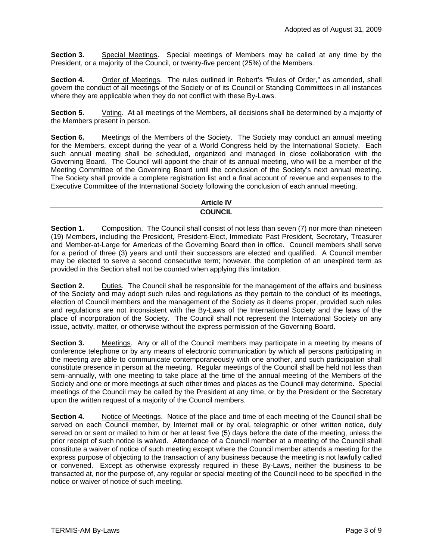**Section 3.** Special Meetings. Special meetings of Members may be called at any time by the President, or a majority of the Council, or twenty-five percent (25%) of the Members.

**Section 4.** Order of Meetings. The rules outlined in Robert's "Rules of Order," as amended, shall govern the conduct of all meetings of the Society or of its Council or Standing Committees in all instances where they are applicable when they do not conflict with these By-Laws.

**Section 5.** Voting. At all meetings of the Members, all decisions shall be determined by a majority of the Members present in person.

**Section 6.** Meetings of the Members of the Society. The Society may conduct an annual meeting for the Members, except during the year of a World Congress held by the International Society. Each such annual meeting shall be scheduled, organized and managed in close collaboration with the Governing Board. The Council will appoint the chair of its annual meeting, who will be a member of the Meeting Committee of the Governing Board until the conclusion of the Society's next annual meeting. The Society shall provide a complete registration list and a final account of revenue and expenses to the Executive Committee of the International Society following the conclusion of each annual meeting.

# **Article IV COUNCIL**

**Section 1.** Composition. The Council shall consist of not less than seven (7) nor more than nineteen (19) Members, including the President, President-Elect, Immediate Past President, Secretary, Treasurer and Member-at-Large for Americas of the Governing Board then in office. Council members shall serve for a period of three (3) years and until their successors are elected and qualified. A Council member may be elected to serve a second consecutive term; however, the completion of an unexpired term as provided in this Section shall not be counted when applying this limitation.

**Section 2.** Duties. The Council shall be responsible for the management of the affairs and business of the Society and may adopt such rules and regulations as they pertain to the conduct of its meetings, election of Council members and the management of the Society as it deems proper, provided such rules and regulations are not inconsistent with the By-Laws of the International Society and the laws of the place of incorporation of the Society. The Council shall not represent the International Society on any issue, activity, matter, or otherwise without the express permission of the Governing Board.

**Section 3.** Meetings. Any or all of the Council members may participate in a meeting by means of conference telephone or by any means of electronic communication by which all persons participating in the meeting are able to communicate contemporaneously with one another, and such participation shall constitute presence in person at the meeting. Regular meetings of the Council shall be held not less than semi-annually, with one meeting to take place at the time of the annual meeting of the Members of the Society and one or more meetings at such other times and places as the Council may determine. Special meetings of the Council may be called by the President at any time, or by the President or the Secretary upon the written request of a majority of the Council members.

**Section 4.** Notice of Meetings. Notice of the place and time of each meeting of the Council shall be served on each Council member, by Internet mail or by oral, telegraphic or other written notice, duly served on or sent or mailed to him or her at least five (5) days before the date of the meeting, unless the prior receipt of such notice is waived. Attendance of a Council member at a meeting of the Council shall constitute a waiver of notice of such meeting except where the Council member attends a meeting for the express purpose of objecting to the transaction of any business because the meeting is not lawfully called or convened. Except as otherwise expressly required in these By-Laws, neither the business to be transacted at, nor the purpose of, any regular or special meeting of the Council need to be specified in the notice or waiver of notice of such meeting.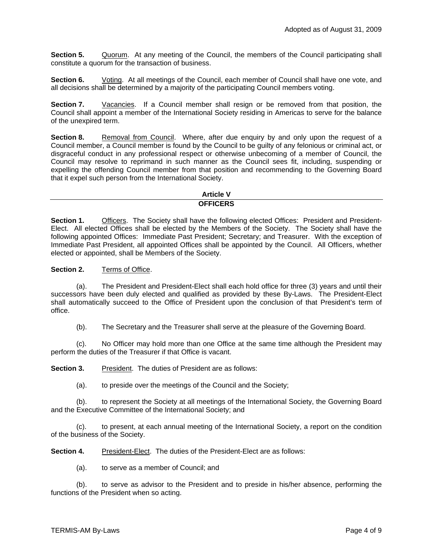**Section 5.** Quorum. At any meeting of the Council, the members of the Council participating shall constitute a quorum for the transaction of business.

**Section 6.** Voting. At all meetings of the Council, each member of Council shall have one vote, and all decisions shall be determined by a majority of the participating Council members voting.

**Section 7.** Vacancies. If a Council member shall resign or be removed from that position, the Council shall appoint a member of the International Society residing in Americas to serve for the balance of the unexpired term.

**Section 8.** Removal from Council. Where, after due enquiry by and only upon the request of a Council member, a Council member is found by the Council to be guilty of any felonious or criminal act, or disgraceful conduct in any professional respect or otherwise unbecoming of a member of Council, the Council may resolve to reprimand in such manner as the Council sees fit, including, suspending or expelling the offending Council member from that position and recommending to the Governing Board that it expel such person from the International Society.

#### **Article V OFFICERS**

**Section 1.** Officers. The Society shall have the following elected Offices: President and President-Elect. All elected Offices shall be elected by the Members of the Society. The Society shall have the following appointed Offices: Immediate Past President; Secretary; and Treasurer. With the exception of Immediate Past President, all appointed Offices shall be appointed by the Council. All Officers, whether elected or appointed, shall be Members of the Society.

## **Section 2.** Terms of Office.

(a). The President and President-Elect shall each hold office for three (3) years and until their successors have been duly elected and qualified as provided by these By-Laws. The President-Elect shall automatically succeed to the Office of President upon the conclusion of that President's term of office.

(b). The Secretary and the Treasurer shall serve at the pleasure of the Governing Board.

(c). No Officer may hold more than one Office at the same time although the President may perform the duties of the Treasurer if that Office is vacant.

**Section 3.** President. The duties of President are as follows:

(a). to preside over the meetings of the Council and the Society;

(b). to represent the Society at all meetings of the International Society, the Governing Board and the Executive Committee of the International Society; and

(c). to present, at each annual meeting of the International Society, a report on the condition of the business of the Society.

**Section 4.** President-Elect. The duties of the President-Elect are as follows:

(a). to serve as a member of Council; and

(b). to serve as advisor to the President and to preside in his/her absence, performing the functions of the President when so acting.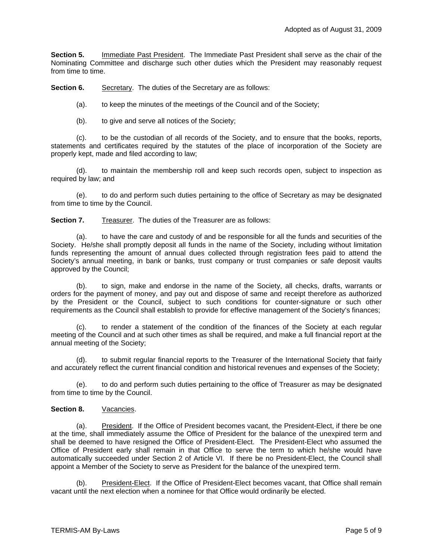**Section 5.** Immediate Past President. The Immediate Past President shall serve as the chair of the Nominating Committee and discharge such other duties which the President may reasonably request from time to time.

**Section 6.** Secretary. The duties of the Secretary are as follows:

(a). to keep the minutes of the meetings of the Council and of the Society;

(b). to give and serve all notices of the Society;

(c). to be the custodian of all records of the Society, and to ensure that the books, reports, statements and certificates required by the statutes of the place of incorporation of the Society are properly kept, made and filed according to law;

(d). to maintain the membership roll and keep such records open, subject to inspection as required by law; and

(e). to do and perform such duties pertaining to the office of Secretary as may be designated from time to time by the Council.

**Section 7.** Treasurer. The duties of the Treasurer are as follows:

(a). to have the care and custody of and be responsible for all the funds and securities of the Society. He/she shall promptly deposit all funds in the name of the Society, including without limitation funds representing the amount of annual dues collected through registration fees paid to attend the Society's annual meeting, in bank or banks, trust company or trust companies or safe deposit vaults approved by the Council;

(b). to sign, make and endorse in the name of the Society, all checks, drafts, warrants or orders for the payment of money, and pay out and dispose of same and receipt therefore as authorized by the President or the Council, subject to such conditions for counter-signature or such other requirements as the Council shall establish to provide for effective management of the Society's finances;

(c). to render a statement of the condition of the finances of the Society at each regular meeting of the Council and at such other times as shall be required, and make a full financial report at the annual meeting of the Society;

(d). to submit regular financial reports to the Treasurer of the International Society that fairly and accurately reflect the current financial condition and historical revenues and expenses of the Society;

(e). to do and perform such duties pertaining to the office of Treasurer as may be designated from time to time by the Council.

## **Section 8.** Vacancies.

(a). President. If the Office of President becomes vacant, the President-Elect, if there be one at the time, shall immediately assume the Office of President for the balance of the unexpired term and shall be deemed to have resigned the Office of President-Elect. The President-Elect who assumed the Office of President early shall remain in that Office to serve the term to which he/she would have automatically succeeded under Section 2 of Article VI. If there be no President-Elect, the Council shall appoint a Member of the Society to serve as President for the balance of the unexpired term.

(b). President-Elect. If the Office of President-Elect becomes vacant, that Office shall remain vacant until the next election when a nominee for that Office would ordinarily be elected.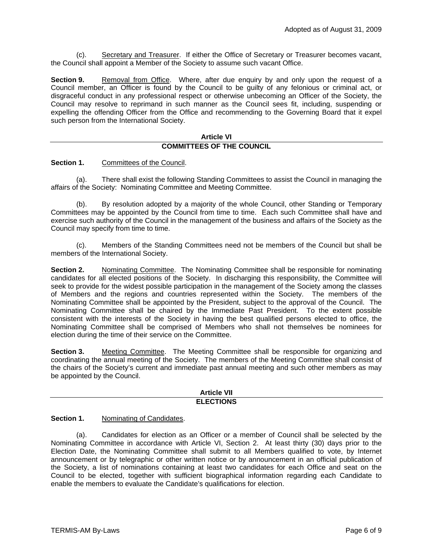(c). Secretary and Treasurer. If either the Office of Secretary or Treasurer becomes vacant, the Council shall appoint a Member of the Society to assume such vacant Office.

**Section 9.** Removal from Office. Where, after due enquiry by and only upon the request of a Council member, an Officer is found by the Council to be guilty of any felonious or criminal act, or disgraceful conduct in any professional respect or otherwise unbecoming an Officer of the Society, the Council may resolve to reprimand in such manner as the Council sees fit, including, suspending or expelling the offending Officer from the Office and recommending to the Governing Board that it expel such person from the International Society.

#### **Article VI COMMITTEES OF THE COUNCIL**

**Section 1.** Committees of the Council.

(a). There shall exist the following Standing Committees to assist the Council in managing the affairs of the Society: Nominating Committee and Meeting Committee.

(b). By resolution adopted by a majority of the whole Council, other Standing or Temporary Committees may be appointed by the Council from time to time. Each such Committee shall have and exercise such authority of the Council in the management of the business and affairs of the Society as the Council may specify from time to time.

(c). Members of the Standing Committees need not be members of the Council but shall be members of the International Society.

**Section 2.** Nominating Committee. The Nominating Committee shall be responsible for nominating candidates for all elected positions of the Society. In discharging this responsibility, the Committee will seek to provide for the widest possible participation in the management of the Society among the classes of Members and the regions and countries represented within the Society. The members of the Nominating Committee shall be appointed by the President, subject to the approval of the Council. The Nominating Committee shall be chaired by the Immediate Past President. To the extent possible consistent with the interests of the Society in having the best qualified persons elected to office, the Nominating Committee shall be comprised of Members who shall not themselves be nominees for election during the time of their service on the Committee.

**Section 3.** Meeting Committee. The Meeting Committee shall be responsible for organizing and coordinating the annual meeting of the Society. The members of the Meeting Committee shall consist of the chairs of the Society's current and immediate past annual meeting and such other members as may be appointed by the Council.

#### **Article VII ELECTIONS**

## **Section 1.** Nominating of Candidates.

(a). Candidates for election as an Officer or a member of Council shall be selected by the Nominating Committee in accordance with Article VI, Section 2. At least thirty (30) days prior to the Election Date, the Nominating Committee shall submit to all Members qualified to vote, by Internet announcement or by telegraphic or other written notice or by announcement in an official publication of the Society, a list of nominations containing at least two candidates for each Office and seat on the Council to be elected, together with sufficient biographical information regarding each Candidate to enable the members to evaluate the Candidate's qualifications for election.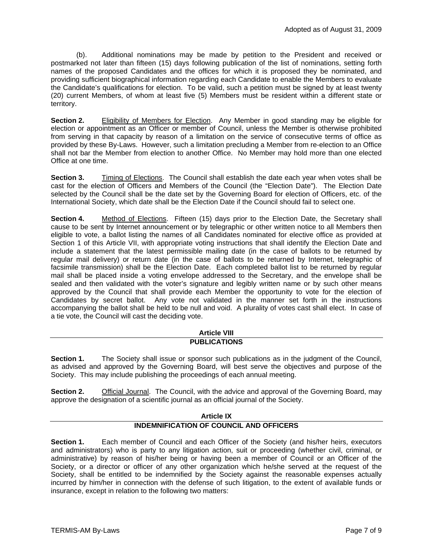(b). Additional nominations may be made by petition to the President and received or postmarked not later than fifteen (15) days following publication of the list of nominations, setting forth names of the proposed Candidates and the offices for which it is proposed they be nominated, and providing sufficient biographical information regarding each Candidate to enable the Members to evaluate the Candidate's qualifications for election. To be valid, such a petition must be signed by at least twenty (20) current Members, of whom at least five (5) Members must be resident within a different state or territory.

**Section 2.** Eligibility of Members for Election. Any Member in good standing may be eligible for election or appointment as an Officer or member of Council, unless the Member is otherwise prohibited from serving in that capacity by reason of a limitation on the service of consecutive terms of office as provided by these By-Laws. However, such a limitation precluding a Member from re-election to an Office shall not bar the Member from election to another Office. No Member may hold more than one elected Office at one time.

**Section 3.** Timing of Elections. The Council shall establish the date each year when votes shall be cast for the election of Officers and Members of the Council (the "Election Date"). The Election Date selected by the Council shall be the date set by the Governing Board for election of Officers, etc. of the International Society, which date shall be the Election Date if the Council should fail to select one.

**Section 4.** Method of Elections. Fifteen (15) days prior to the Election Date, the Secretary shall cause to be sent by Internet announcement or by telegraphic or other written notice to all Members then eligible to vote, a ballot listing the names of all Candidates nominated for elective office as provided at Section 1 of this Article VII, with appropriate voting instructions that shall identify the Election Date and include a statement that the latest permissible mailing date (in the case of ballots to be returned by regular mail delivery) or return date (in the case of ballots to be returned by Internet, telegraphic of facsimile transmission) shall be the Election Date. Each completed ballot list to be returned by regular mail shall be placed inside a voting envelope addressed to the Secretary, and the envelope shall be sealed and then validated with the voter's signature and legibly written name or by such other means approved by the Council that shall provide each Member the opportunity to vote for the election of Candidates by secret ballot. Any vote not validated in the manner set forth in the instructions accompanying the ballot shall be held to be null and void. A plurality of votes cast shall elect. In case of a tie vote, the Council will cast the deciding vote.

# **Article VIII PUBLICATIONS**

**Section 1.** The Society shall issue or sponsor such publications as in the judgment of the Council, as advised and approved by the Governing Board, will best serve the objectives and purpose of the Society. This may include publishing the proceedings of each annual meeting.

**Section 2.** Official Journal. The Council, with the advice and approval of the Governing Board, may approve the designation of a scientific journal as an official journal of the Society.

# **Article IX INDEMNIFICATION OF COUNCIL AND OFFICERS**

**Section 1.** Each member of Council and each Officer of the Society (and his/her heirs, executors and administrators) who is party to any litigation action, suit or proceeding (whether civil, criminal, or administrative) by reason of his/her being or having been a member of Council or an Officer of the Society, or a director or officer of any other organization which he/she served at the request of the Society, shall be entitled to be indemnified by the Society against the reasonable expenses actually incurred by him/her in connection with the defense of such litigation, to the extent of available funds or insurance, except in relation to the following two matters: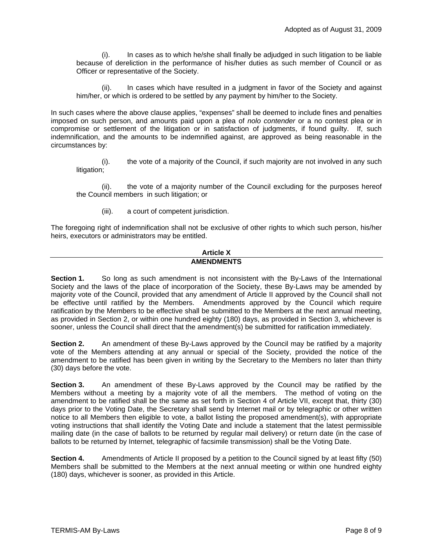(i). In cases as to which he/she shall finally be adjudged in such litigation to be liable because of dereliction in the performance of his/her duties as such member of Council or as Officer or representative of the Society.

(ii). In cases which have resulted in a judgment in favor of the Society and against him/her, or which is ordered to be settled by any payment by him/her to the Society.

In such cases where the above clause applies, "expenses" shall be deemed to include fines and penalties imposed on such person, and amounts paid upon a plea of *nolo contender* or a no contest plea or in compromise or settlement of the litigation or in satisfaction of judgments, if found guilty. If, such indemnification, and the amounts to be indemnified against, are approved as being reasonable in the circumstances by:

(i). the vote of a majority of the Council, if such majority are not involved in any such litigation;

(ii). the vote of a majority number of the Council excluding for the purposes hereof the Council members in such litigation; or

(iii). a court of competent jurisdiction.

The foregoing right of indemnification shall not be exclusive of other rights to which such person, his/her heirs, executors or administrators may be entitled.

#### **Article X AMENDMENTS**

**Section 1.** So long as such amendment is not inconsistent with the By-Laws of the International Society and the laws of the place of incorporation of the Society, these By-Laws may be amended by majority vote of the Council, provided that any amendment of Article II approved by the Council shall not be effective until ratified by the Members. Amendments approved by the Council which require ratification by the Members to be effective shall be submitted to the Members at the next annual meeting, as provided in Section 2, or within one hundred eighty (180) days, as provided in Section 3, whichever is sooner, unless the Council shall direct that the amendment(s) be submitted for ratification immediately.

**Section 2.** An amendment of these By-Laws approved by the Council may be ratified by a majority vote of the Members attending at any annual or special of the Society, provided the notice of the amendment to be ratified has been given in writing by the Secretary to the Members no later than thirty (30) days before the vote.

**Section 3.** An amendment of these By-Laws approved by the Council may be ratified by the Members without a meeting by a majority vote of all the members. The method of voting on the amendment to be ratified shall be the same as set forth in Section 4 of Article VII, except that, thirty (30) days prior to the Voting Date, the Secretary shall send by Internet mail or by telegraphic or other written notice to all Members then eligible to vote, a ballot listing the proposed amendment(s), with appropriate voting instructions that shall identify the Voting Date and include a statement that the latest permissible mailing date (in the case of ballots to be returned by regular mail delivery) or return date (in the case of ballots to be returned by Internet, telegraphic of facsimile transmission) shall be the Voting Date.

**Section 4.** Amendments of Article II proposed by a petition to the Council signed by at least fifty (50) Members shall be submitted to the Members at the next annual meeting or within one hundred eighty (180) days, whichever is sooner, as provided in this Article.